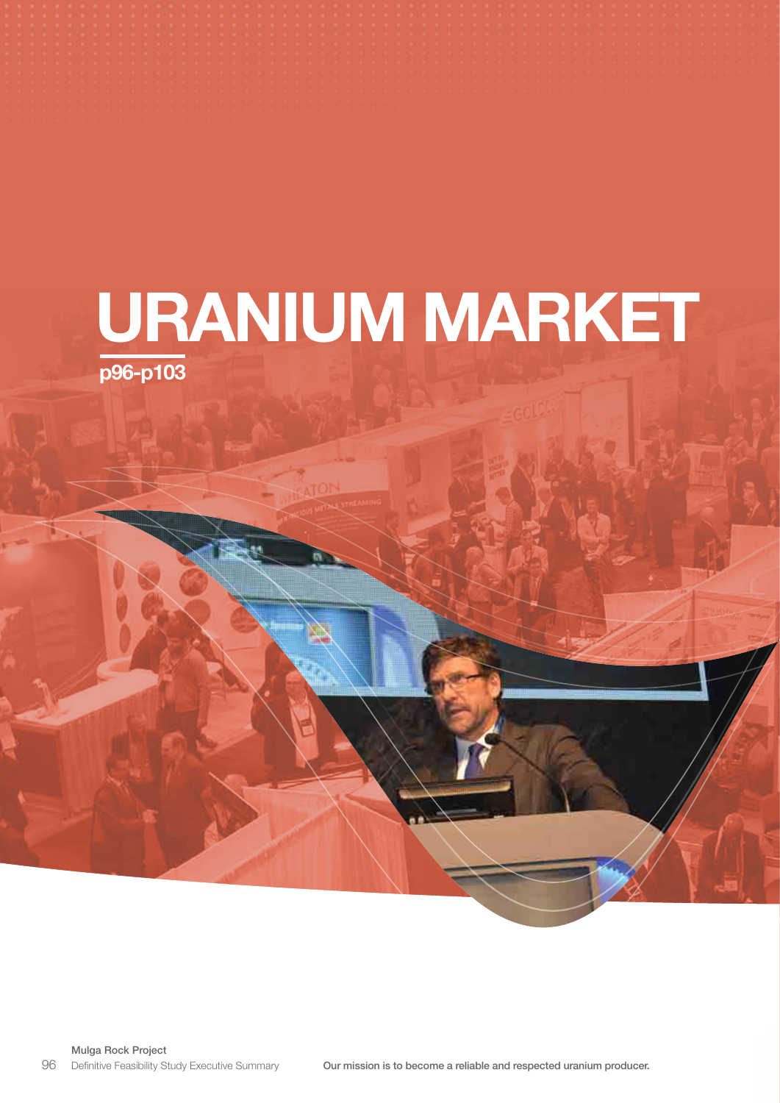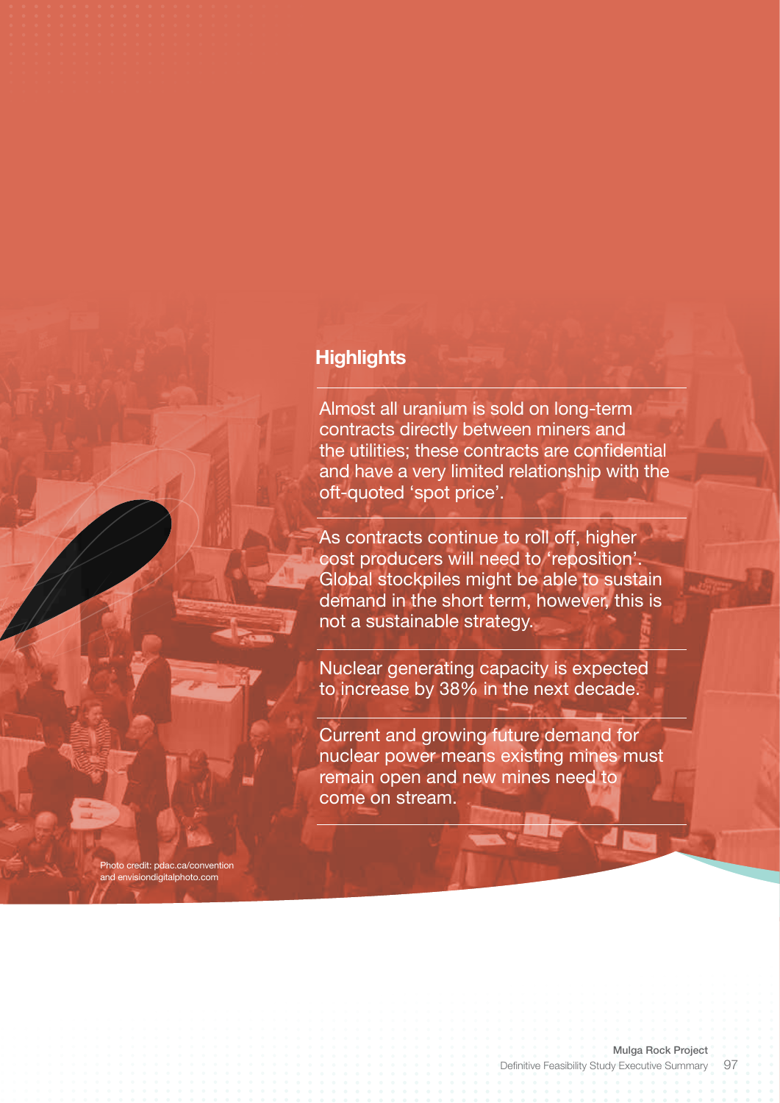## **Highlights**

Photo credit: pdac.ca/convention and envisiondigitalphoto.com

Almost all uranium is sold on long-term contracts directly between miners and the utilities; these contracts are confidential and have a very limited relationship with the oft-quoted 'spot price'.

As contracts continue to roll off, higher cost producers will need to 'reposition'. Global stockpiles might be able to sustain demand in the short term, however, this is not a sustainable strategy.

Nuclear generating capacity is expected to increase by 38% in the next decade.

Current and growing future demand for nuclear power means existing mines must remain open and new mines need to come on stream.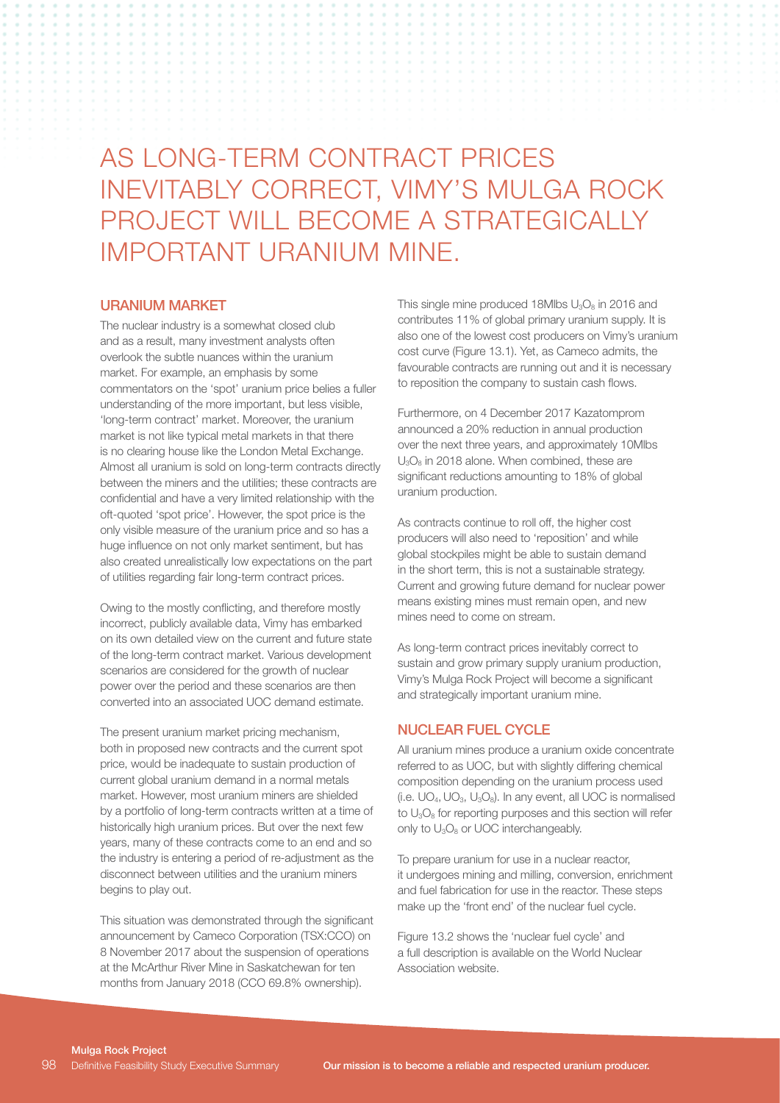# AS LONG-TERM CONTRACT PRICES INEVITABLY CORRECT, VIMY'S MULGA ROCK PROJECT WILL BECOME A STRATEGICALLY IMPORTANT URANIUM MINE.

#### URANIUM MARKET

The nuclear industry is a somewhat closed club and as a result, many investment analysts often overlook the subtle nuances within the uranium market. For example, an emphasis by some commentators on the 'spot' uranium price belies a fuller understanding of the more important, but less visible, 'long-term contract' market. Moreover, the uranium market is not like typical metal markets in that there is no clearing house like the London Metal Exchange. Almost all uranium is sold on long-term contracts directly between the miners and the utilities; these contracts are confidential and have a very limited relationship with the oft-quoted 'spot price'. However, the spot price is the only visible measure of the uranium price and so has a huge influence on not only market sentiment, but has also created unrealistically low expectations on the part of utilities regarding fair long-term contract prices.

Owing to the mostly conflicting, and therefore mostly incorrect, publicly available data, Vimy has embarked on its own detailed view on the current and future state of the long-term contract market. Various development scenarios are considered for the growth of nuclear power over the period and these scenarios are then converted into an associated UOC demand estimate.

The present uranium market pricing mechanism, both in proposed new contracts and the current spot price, would be inadequate to sustain production of current global uranium demand in a normal metals market. However, most uranium miners are shielded by a portfolio of long-term contracts written at a time of historically high uranium prices. But over the next few years, many of these contracts come to an end and so the industry is entering a period of re-adjustment as the disconnect between utilities and the uranium miners begins to play out.

This situation was demonstrated through the significant announcement by Cameco Corporation (TSX:CCO) on 8 November 2017 about the suspension of operations at the McArthur River Mine in Saskatchewan for ten months from January 2018 (CCO 69.8% ownership).

This single mine produced 18Mlbs  $U_3O_8$  in 2016 and contributes 11% of global primary uranium supply. It is also one of the lowest cost producers on Vimy's uranium cost curve (Figure 13.1). Yet, as Cameco admits, the favourable contracts are running out and it is necessary to reposition the company to sustain cash flows.

Furthermore, on 4 December 2017 Kazatomprom announced a 20% reduction in annual production over the next three years, and approximately 10Mlbs U3O8 in 2018 alone. When combined, these are significant reductions amounting to 18% of global uranium production.

As contracts continue to roll off, the higher cost producers will also need to 'reposition' and while global stockpiles might be able to sustain demand in the short term, this is not a sustainable strategy. Current and growing future demand for nuclear power means existing mines must remain open, and new mines need to come on stream.

As long-term contract prices inevitably correct to sustain and grow primary supply uranium production, Vimy's Mulga Rock Project will become a significant and strategically important uranium mine.

#### NUCLEAR FUEL CYCLE

All uranium mines produce a uranium oxide concentrate referred to as UOC, but with slightly differing chemical composition depending on the uranium process used (i.e.  $UO_4$ ,  $UO_3$ ,  $U_3O_8$ ). In any event, all UOC is normalised to  $U_3O_8$  for reporting purposes and this section will refer only to U<sub>3</sub>O<sub>8</sub> or UOC interchangeably.

To prepare uranium for use in a nuclear reactor, it undergoes mining and milling, conversion, enrichment and fuel fabrication for use in the reactor. These steps make up the 'front end' of the nuclear fuel cycle.

Figure 13.2 shows the 'nuclear fuel cycle' and a full description is available on the World Nuclear Association website.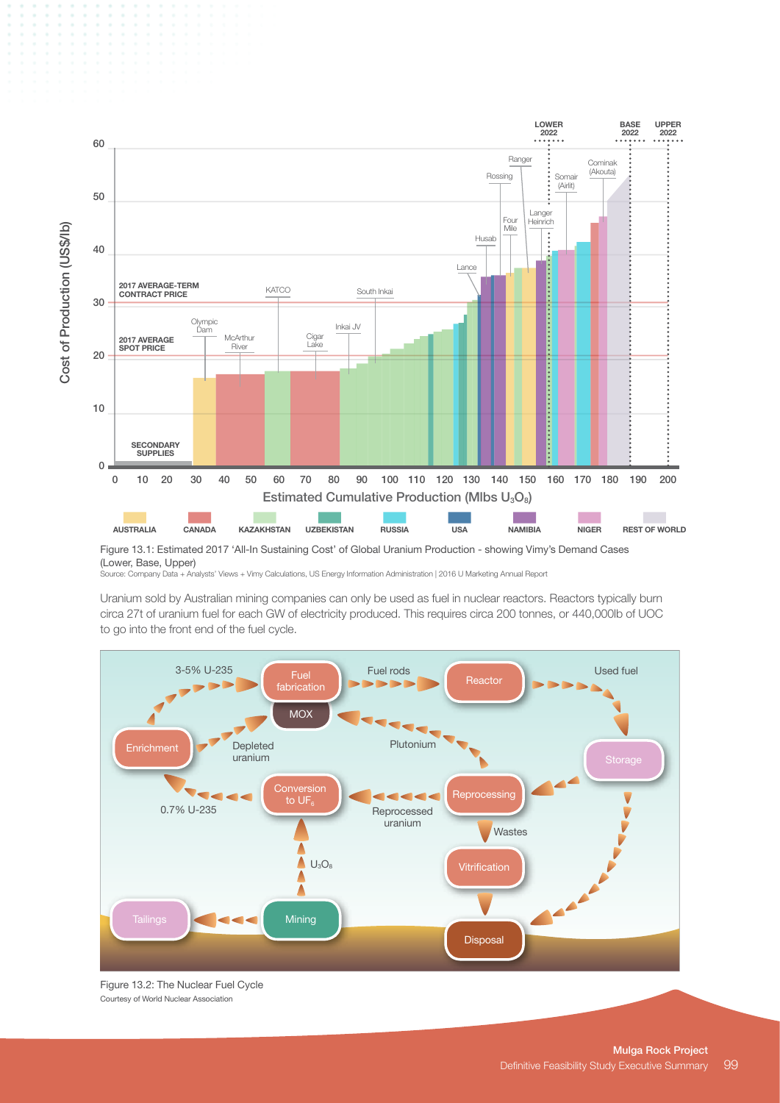

Figure 13.1: Estimated 2017 'All-In Sustaining Cost' of Global Uranium Production - showing Vimy's Demand Cases (Lower, Base, Upper)

Source: Company Data + Analysts' Views + Vimy Calculations, US Energy Information Administration | 2016 U Marketing Annual Report

Uranium sold by Australian mining companies can only be used as fuel in nuclear reactors. Reactors typically burn circa 27t of uranium fuel for each GW of electricity produced. This requires circa 200 tonnes, or 440,000lb of UOC to go into the front end of the fuel cycle.



Figure 13.2: The Nuclear Fuel Cycle Courtesy of World Nuclear Association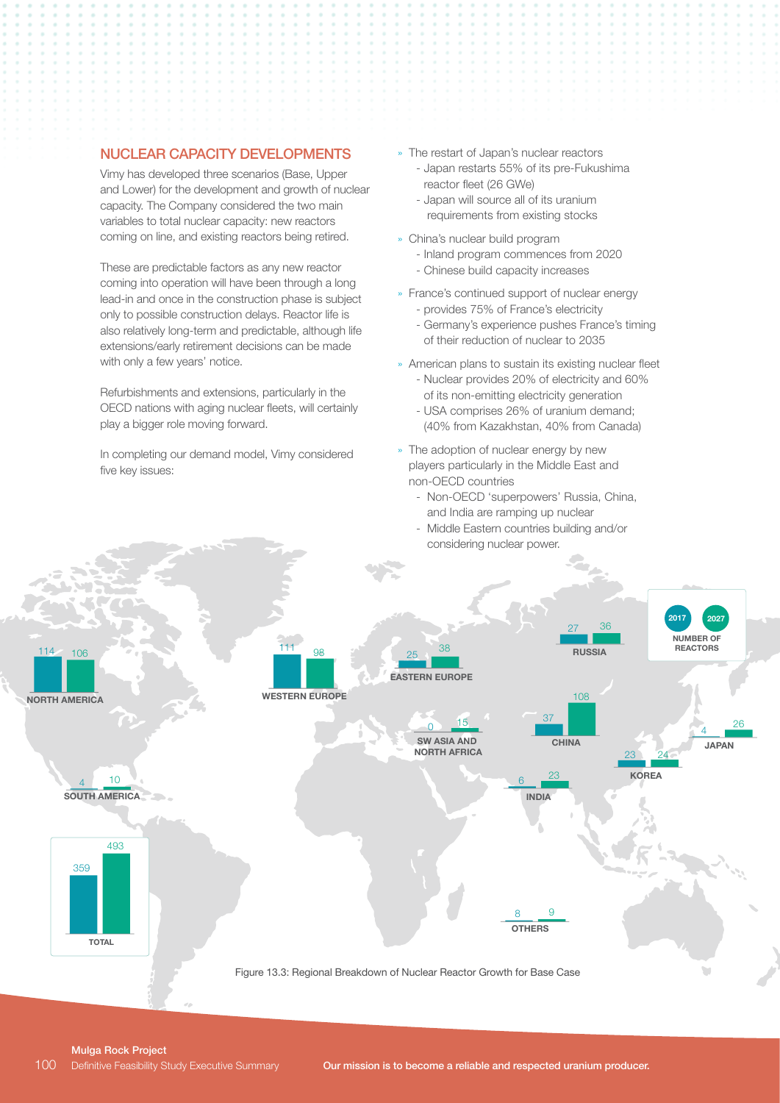#### NUCLEAR CAPACITY DEVELOPMENTS

Vimy has developed three scenarios (Base, Upper and Lower) for the development and growth of nuclear capacity. The Company considered the two main variables to total nuclear capacity: new reactors coming on line, and existing reactors being retired.

These are predictable factors as any new reactor coming into operation will have been through a long lead-in and once in the construction phase is subject only to possible construction delays. Reactor life is also relatively long-term and predictable, although life extensions/early retirement decisions can be made with only a few years' notice.

Refurbishments and extensions, particularly in the OECD nations with aging nuclear fleets, will certainly play a bigger role moving forward.

In completing our demand model, Vimy considered five key issues:

- » The restart of Japan's nuclear reactors - Japan restarts 55% of its pre-Fukushima reactor fleet (26 GWe)
	- Japan will source all of its uranium requirements from existing stocks
- » China's nuclear build program
	- Inland program commences from 2020
	- Chinese build capacity increases
- » France's continued support of nuclear energy - provides 75% of France's electricity
	- Germany's experience pushes France's timing of their reduction of nuclear to 2035
- » American plans to sustain its existing nuclear fleet - Nuclear provides 20% of electricity and 60% of its non-emitting electricity generation
	- USA comprises 26% of uranium demand; (40% from Kazakhstan, 40% from Canada)
- » The adoption of nuclear energy by new players particularly in the Middle East and non-OECD countries
	- Non-OECD 'superpowers' Russia, China, and India are ramping up nuclear
	- Middle Eastern countries building and/or considering nuclear power.



Mulga Rock Project Definitive Feasibility Study Executive Summary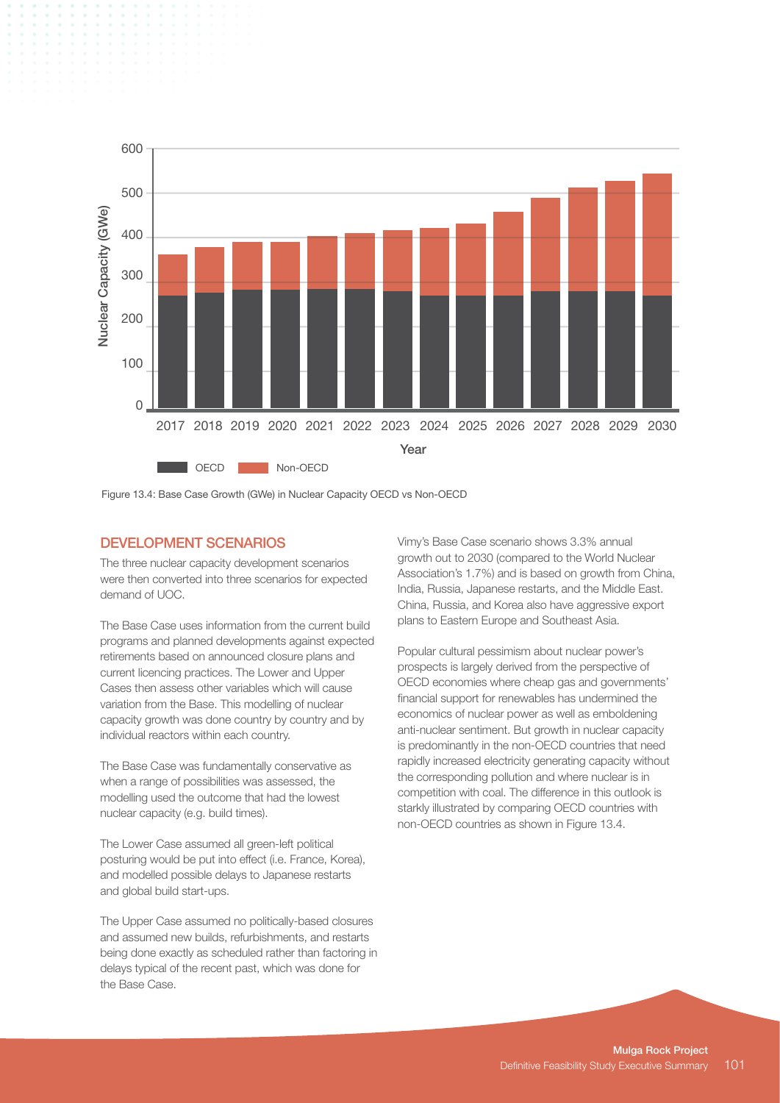

### DEVELOPMENT SCENARIOS

The three nuclear capacity development scenarios were then converted into three scenarios for expected demand of UOC.

The Base Case uses information from the current build programs and planned developments against expected retirements based on announced closure plans and current licencing practices. The Lower and Upper Cases then assess other variables which will cause variation from the Base. This modelling of nuclear capacity growth was done country by country and by individual reactors within each country.

The Base Case was fundamentally conservative as when a range of possibilities was assessed, the modelling used the outcome that had the lowest nuclear capacity (e.g. build times).

The Lower Case assumed all green-left political posturing would be put into effect (i.e. France, Korea), and modelled possible delays to Japanese restarts and global build start-ups.

The Upper Case assumed no politically-based closures and assumed new builds, refurbishments, and restarts being done exactly as scheduled rather than factoring in delays typical of the recent past, which was done for the Base Case.

Vimy's Base Case scenario shows 3.3% annual growth out to 2030 (compared to the World Nuclear Association's 1.7%) and is based on growth from China, India, Russia, Japanese restarts, and the Middle East. China, Russia, and Korea also have aggressive export plans to Eastern Europe and Southeast Asia.

Popular cultural pessimism about nuclear power's prospects is largely derived from the perspective of OECD economies where cheap gas and governments' financial support for renewables has undermined the economics of nuclear power as well as emboldening anti-nuclear sentiment. But growth in nuclear capacity is predominantly in the non-OECD countries that need rapidly increased electricity generating capacity without the corresponding pollution and where nuclear is in competition with coal. The difference in this outlook is starkly illustrated by comparing OECD countries with non-OECD countries as shown in Figure 13.4.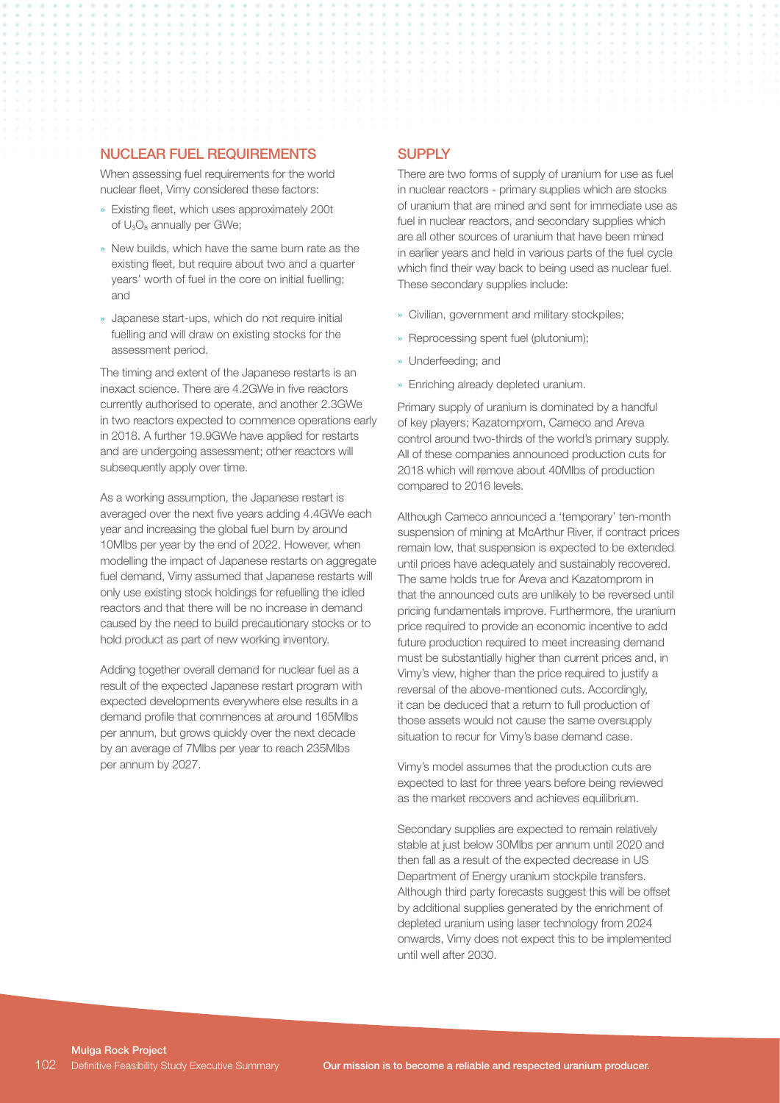#### NUCLEAR FUEL REQUIREMENTS

When assessing fuel requirements for the world nuclear fleet, Vimy considered these factors:

- » Existing fleet, which uses approximately 200t of U<sub>3</sub>O<sub>8</sub> annually per GWe;
- » New builds, which have the same burn rate as the existing fleet, but require about two and a quarter years' worth of fuel in the core on initial fuelling; and
- » Japanese start-ups, which do not require initial fuelling and will draw on existing stocks for the assessment period.

The timing and extent of the Japanese restarts is an inexact science. There are 4.2GWe in five reactors currently authorised to operate, and another 2.3GWe in two reactors expected to commence operations early in 2018. A further 19.9GWe have applied for restarts and are undergoing assessment; other reactors will subsequently apply over time.

As a working assumption, the Japanese restart is averaged over the next five years adding 4.4GWe each year and increasing the global fuel burn by around 10Mlbs per year by the end of 2022. However, when modelling the impact of Japanese restarts on aggregate fuel demand, Vimy assumed that Japanese restarts will only use existing stock holdings for refuelling the idled reactors and that there will be no increase in demand caused by the need to build precautionary stocks or to hold product as part of new working inventory.

Adding together overall demand for nuclear fuel as a result of the expected Japanese restart program with expected developments everywhere else results in a demand profile that commences at around 165Mlbs per annum, but grows quickly over the next decade by an average of 7Mlbs per year to reach 235Mlbs per annum by 2027.

#### **SUPPLY**

There are two forms of supply of uranium for use as fuel in nuclear reactors - primary supplies which are stocks of uranium that are mined and sent for immediate use as fuel in nuclear reactors, and secondary supplies which are all other sources of uranium that have been mined in earlier years and held in various parts of the fuel cycle which find their way back to being used as nuclear fuel. These secondary supplies include:

- » Civilian, government and military stockpiles;
- » Reprocessing spent fuel (plutonium);
- » Underfeeding; and
- » Enriching already depleted uranium.

Primary supply of uranium is dominated by a handful of key players; Kazatomprom, Cameco and Areva control around two-thirds of the world's primary supply. All of these companies announced production cuts for 2018 which will remove about 40Mlbs of production compared to 2016 levels.

Although Cameco announced a 'temporary' ten-month suspension of mining at McArthur River, if contract prices remain low, that suspension is expected to be extended until prices have adequately and sustainably recovered. The same holds true for Areva and Kazatomprom in that the announced cuts are unlikely to be reversed until pricing fundamentals improve. Furthermore, the uranium price required to provide an economic incentive to add future production required to meet increasing demand must be substantially higher than current prices and, in Vimy's view, higher than the price required to justify a reversal of the above-mentioned cuts. Accordingly, it can be deduced that a return to full production of those assets would not cause the same oversupply situation to recur for Vimy's base demand case.

Vimy's model assumes that the production cuts are expected to last for three years before being reviewed as the market recovers and achieves equilibrium.

Secondary supplies are expected to remain relatively stable at just below 30Mlbs per annum until 2020 and then fall as a result of the expected decrease in US Department of Energy uranium stockpile transfers. Although third party forecasts suggest this will be offset by additional supplies generated by the enrichment of depleted uranium using laser technology from 2024 onwards, Vimy does not expect this to be implemented until well after 2030.